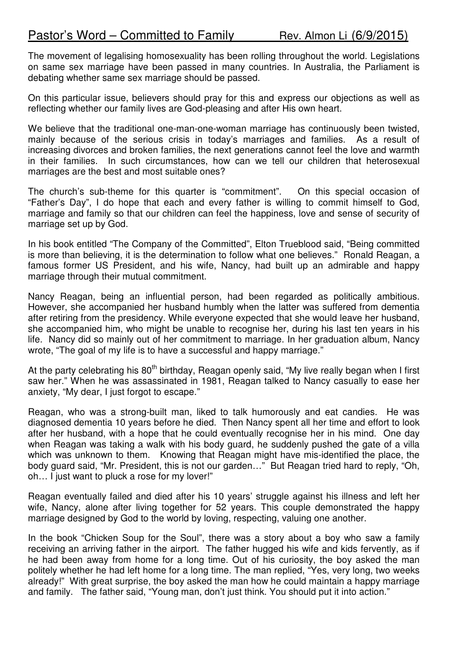The movement of legalising homosexuality has been rolling throughout the world. Legislations on same sex marriage have been passed in many countries. In Australia, the Parliament is debating whether same sex marriage should be passed.

On this particular issue, believers should pray for this and express our objections as well as reflecting whether our family lives are God-pleasing and after His own heart.

We believe that the traditional one-man-one-woman marriage has continuously been twisted, mainly because of the serious crisis in today's marriages and families. As a result of increasing divorces and broken families, the next generations cannot feel the love and warmth in their families. In such circumstances, how can we tell our children that heterosexual marriages are the best and most suitable ones?

The church's sub-theme for this quarter is "commitment". On this special occasion of "Father's Day", I do hope that each and every father is willing to commit himself to God, marriage and family so that our children can feel the happiness, love and sense of security of marriage set up by God.

In his book entitled "The Company of the Committed", Elton Trueblood said, "Being committed is more than believing, it is the determination to follow what one believes." Ronald Reagan, a famous former US President, and his wife, Nancy, had built up an admirable and happy marriage through their mutual commitment.

Nancy Reagan, being an influential person, had been regarded as politically ambitious. However, she accompanied her husband humbly when the latter was suffered from dementia after retiring from the presidency. While everyone expected that she would leave her husband, she accompanied him, who might be unable to recognise her, during his last ten years in his life. Nancy did so mainly out of her commitment to marriage. In her graduation album, Nancy wrote, "The goal of my life is to have a successful and happy marriage."

At the party celebrating his  $80<sup>th</sup>$  birthday, Reagan openly said, "My live really began when I first saw her." When he was assassinated in 1981, Reagan talked to Nancy casually to ease her anxiety, "My dear, I just forgot to escape."

Reagan, who was a strong-built man, liked to talk humorously and eat candies. He was diagnosed dementia 10 years before he died. Then Nancy spent all her time and effort to look after her husband, with a hope that he could eventually recognise her in his mind. One day when Reagan was taking a walk with his body guard, he suddenly pushed the gate of a villa which was unknown to them. Knowing that Reagan might have mis-identified the place, the body guard said, "Mr. President, this is not our garden…" But Reagan tried hard to reply, "Oh, oh… I just want to pluck a rose for my lover!"

Reagan eventually failed and died after his 10 years' struggle against his illness and left her wife, Nancy, alone after living together for 52 years. This couple demonstrated the happy marriage designed by God to the world by loving, respecting, valuing one another.

In the book "Chicken Soup for the Soul", there was a story about a boy who saw a family receiving an arriving father in the airport. The father hugged his wife and kids fervently, as if he had been away from home for a long time. Out of his curiosity, the boy asked the man politely whether he had left home for a long time. The man replied, "Yes, very long, two weeks already!" With great surprise, the boy asked the man how he could maintain a happy marriage and family. The father said, "Young man, don't just think. You should put it into action."